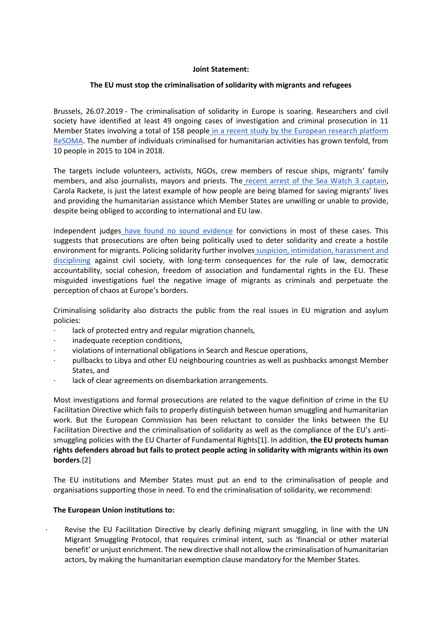## **Joint Statement:**

# **The EU must stop the criminalisation of solidarity with migrants and refugees**

Brussels, 26.07.2019 - The criminalisation of solidarity in Europe is soaring. Researchers and civil society have identified at least 49 ongoing cases of investigation and criminal prosecution in 11 Member States involving a total of 158 people [in a recent study by the European research platform](http://www.resoma.eu/sites/resoma/resoma/files/policy_brief/pdf/Final%20Synthetic%20Report%20-%20Crackdown%20on%20NGOs%20and%20volunteers%20helping%20refugees%20and%20other%20migrants_1.pdf)  [ReSOMA.](http://www.resoma.eu/sites/resoma/resoma/files/policy_brief/pdf/Final%20Synthetic%20Report%20-%20Crackdown%20on%20NGOs%20and%20volunteers%20helping%20refugees%20and%20other%20migrants_1.pdf) The number of individuals criminalised for humanitarian activities has grown tenfold, from 10 people in 2015 to 104 in 2018.

The targets include volunteers, activists, NGOs, crew members of rescue ships, migrants' family members, and also journalists, mayors and priests. The [recent arrest of the Sea Watch 3 captain,](https://www.politico.eu/article/carola-rakete-italian-authorities-arrest-sea-watch-captain/) Carola Rackete, is just the latest example of how people are being blamed for saving migrants' lives and providing the humanitarian assistance which Member States are unwilling or unable to provide, despite being obliged to according to international and EU law.

Independent judges [have found no sound evidence](http://www.resoma.eu/sites/resoma/resoma/files/policy_brief/pdf/Final%20Synthetic%20Report%20-%20Crackdown%20on%20NGOs%20and%20volunteers%20helping%20refugees%20and%20other%20migrants_1.pdf) for convictions in most of these cases. This suggests that prosecutions are often being politically used to deter solidarity and create a hostile environment for migrants. Policing solidarity further involves [suspicion, intimidation, harassment and](https://www.ceps.eu/wp-content/uploads/2019/04/Policing-Humanitarianism-for-CEPS-website.pdf)  [disciplining](https://www.ceps.eu/wp-content/uploads/2019/04/Policing-Humanitarianism-for-CEPS-website.pdf) against civil society, with long-term consequences for the rule of law, democratic accountability, social cohesion, freedom of association and fundamental rights in the EU. These misguided investigations fuel the negative image of migrants as criminals and perpetuate the perception of chaos at Europe's borders.

Criminalising solidarity also distracts the public from the real issues in EU migration and asylum policies:

- lack of protected entry and regular migration channels,
- inadequate reception conditions,
- · violations of international obligations in Search and Rescue operations,
- · pullbacks to Libya and other EU neighbouring countries as well as pushbacks amongst Member States, and
- lack of clear agreements on disembarkation arrangements.

Most investigations and formal prosecutions are related to the vague definition of crime in the EU Facilitation Directive which fails to properly distinguish between human smuggling and humanitarian work. But the European Commission has been reluctant to consider the links between the EU Facilitation Directive and the criminalisation of solidarity as well as the compliance of the EU's antismuggling policies with the EU Charter of Fundamental Rights[1]. In addition, **the EU protects human rights defenders abroad but fails to protect people acting in solidarity with migrants within its own borders**.[2]

The EU institutions and Member States must put an end to the criminalisation of people and organisations supporting those in need. To end the criminalisation of solidarity, we recommend:

## **The European Union institutions to:**

Revise the EU Facilitation Directive by clearly defining migrant smuggling, in line with the UN Migrant Smuggling Protocol, that requires criminal intent, such as 'financial or other material benefit' or unjust enrichment. The new directive shall not allow the criminalisation of humanitarian actors, by making the humanitarian exemption clause mandatory for the Member States.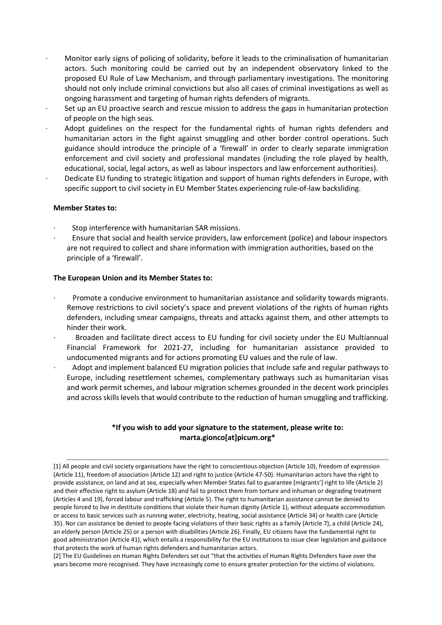- · Monitor early signs of policing of solidarity, before it leads to the criminalisation of humanitarian actors. Such monitoring could be carried out by an independent observatory linked to the proposed EU Rule of Law Mechanism, and through parliamentary investigations. The monitoring should not only include criminal convictions but also all cases of criminal investigations as well as ongoing harassment and targeting of human rights defenders of migrants.
- Set up an EU proactive search and rescue mission to address the gaps in humanitarian protection of people on the high seas.
- Adopt guidelines on the respect for the fundamental rights of human rights defenders and humanitarian actors in the fight against smuggling and other border control operations. Such guidance should introduce the principle of a 'firewall' in order to clearly separate immigration enforcement and civil society and professional mandates (including the role played by health, educational, social, legal actors, as well as labour inspectors and law enforcement authorities).
- Dedicate EU funding to strategic litigation and support of human rights defenders in Europe, with specific support to civil society in EU Member States experiencing rule-of-law backsliding.

### **Member States to:**

- Stop interference with humanitarian SAR missions.
- · Ensure that social and health service providers, law enforcement (police) and labour inspectors are not required to collect and share information with immigration authorities, based on the principle of a 'firewall'.

### **The European Union and its Member States to:**

- · Promote a conducive environment to humanitarian assistance and solidarity towards migrants. Remove restrictions to civil society's space and prevent violations of the rights of human rights defenders, including smear campaigns, threats and attacks against them, and other attempts to hinder their work.
- · Broaden and facilitate direct access to EU funding for civil society under the EU Multiannual Financial Framework for 2021-27, including for humanitarian assistance provided to undocumented migrants and for actions promoting EU values and the rule of law.
- · Adopt and implement balanced EU migration policies that include safe and regular pathways to Europe, including resettlement schemes, complementary pathways such as humanitarian visas and work permit schemes, and labour migration schemes grounded in the decent work principles and across skills levels that would contribute to the reduction of human smuggling and trafficking.

# **\*If you wish to add your signature to the statement, please write to: marta.gionco[at]picum.org\***

<sup>[1]</sup> All people and civil society organisations have the right to conscientious objection (Article 10), freedom of expression (Article 11), freedom of association (Article 12) and right to justice (Article 47-50). Humanitarian actors have the right to provide assistance, on land and at sea, especially when Member States fail to guarantee [migrants'] right to life (Article 2) and their effective right to asylum (Article 18) and fail to protect them from torture and inhuman or degrading treatment (Articles 4 and 19), forced labour and trafficking (Article 5). The right to humanitarian assistance cannot be denied to people forced to live in destitute conditions that violate their human dignity (Article 1), without adequate accommodation or access to basic services such as running water, electricity, heating, social assistance (Article 34) or health care (Article 35). Nor can assistance be denied to people facing violations of their basic rights as a family (Article 7), a child (Article 24), an elderly person (Article 25) or a person with disabilities (Article 26). Finally, EU citizens have the fundamental right to good administration (Article 41), which entails a responsibility for the EU institutions to issue clear legislation and guidance that protects the work of human rights defenders and humanitarian actors.

<sup>[2]</sup> The EU Guidelines on Human Rights Defenders set out "that the activities of Human Rights Defenders have over the years become more recognised. They have increasingly come to ensure greater protection for the victims of violations.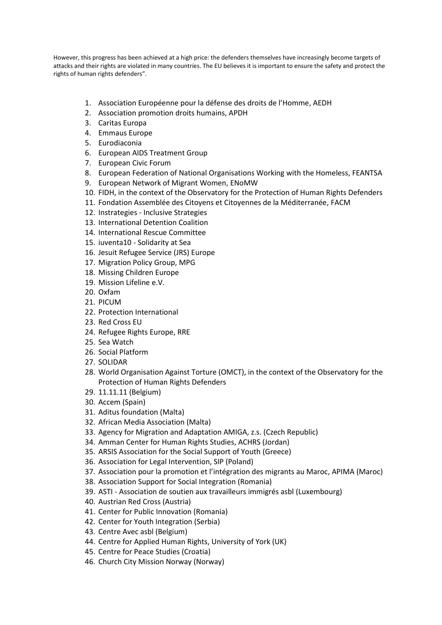However, this progress has been achieved at a high price: the defenders themselves have increasingly become targets of attacks and their rights are violated in many countries. The EU believes it is important to ensure the safety and protect the rights of human rights defenders".

- 1. Association Européenne pour la défense des droits de l'Homme, AEDH
- 2. Association promotion droits humains, APDH
- 3. Caritas Europa
- 4. Emmaus Europe
- 5. Eurodiaconia
- 6. European AIDS Treatment Group
- 7. European Civic Forum
- 8. European Federation of National Organisations Working with the Homeless, FEANTSA
- 9. European Network of Migrant Women, ENoMW
- 10. FIDH, in the context of the Observatory for the Protection of Human Rights Defenders
- 11. Fondation Assemblée des Citoyens et Citoyennes de la Méditerranée, FACM
- 12. Instrategies Inclusive Strategies
- 13. International Detention Coalition
- 14. International Rescue Committee
- 15. iuventa10 Solidarity at Sea
- 16. Jesuit Refugee Service (JRS) Europe
- 17. Migration Policy Group, MPG
- 18. Missing Children Europe
- 19. Mission Lifeline e.V.
- 20. Oxfam
- 21. PICUM
- 22. Protection International
- 23. Red Cross EU
- 24. Refugee Rights Europe, RRE
- 25. Sea Watch
- 26. Social Platform
- 27. SOLIDAR
- 28. World Organisation Against Torture (OMCT), in the context of the Observatory for the Protection of Human Rights Defenders
- 29. 11.11.11 (Belgium)
- 30. Accem (Spain)
- 31. Aditus foundation (Malta)
- 32. African Media Association (Malta)
- 33. Agency for Migration and Adaptation AMIGA, z.s. (Czech Republic)
- 34. Amman Center for Human Rights Studies, ACHRS (Jordan)
- 35. ARSIS Association for the Social Support of Youth (Greece)
- 36. Association for Legal Intervention, SIP (Poland)
- 37. Association pour la promotion et l'intégration des migrants au Maroc, APIMA (Maroc)
- 38. Association Support for Social Integration (Romania)
- 39. ASTI Association de soutien aux travailleurs immigrés asbl (Luxembourg)
- 40. Austrian Red Cross (Austria)
- 41. Center for Public Innovation (Romania)
- 42. Center for Youth Integration (Serbia)
- 43. Centre Avec asbl (Belgium)
- 44. Centre for Applied Human Rights, University of York (UK)
- 45. Centre for Peace Studies (Croatia)
- 46. Church City Mission Norway (Norway)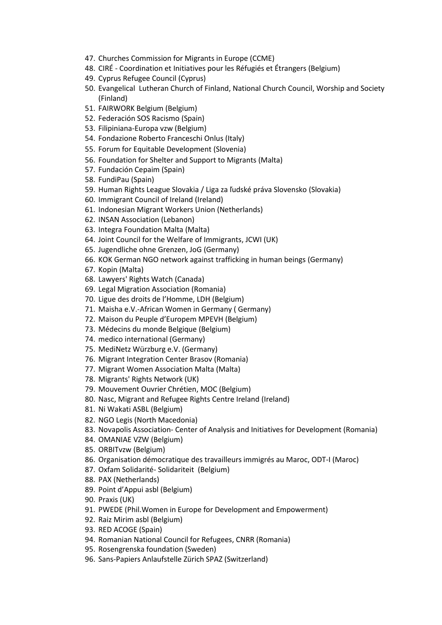- 47. Churches Commission for Migrants in Europe (CCME)
- 48. CIRÉ Coordination et Initiatives pour les Réfugiés et Étrangers (Belgium)
- 49. Cyprus Refugee Council (Cyprus)
- 50. Evangelical Lutheran Church of Finland, National Church Council, Worship and Society (Finland)
- 51. FAIRWORK Belgium (Belgium)
- 52. Federación SOS Racismo (Spain)
- 53. Filipiniana-Europa vzw (Belgium)
- 54. Fondazione Roberto Franceschi Onlus (Italy)
- 55. Forum for Equitable Development (Slovenia)
- 56. Foundation for Shelter and Support to Migrants (Malta)
- 57. Fundación Cepaim (Spain)
- 58. FundiPau (Spain)
- 59. Human Rights League Slovakia / Liga za ľudské práva Slovensko (Slovakia)
- 60. Immigrant Council of Ireland (Ireland)
- 61. Indonesian Migrant Workers Union (Netherlands)
- 62. INSAN Association (Lebanon)
- 63. Integra Foundation Malta (Malta)
- 64. Joint Council for the Welfare of Immigrants, JCWI (UK)
- 65. Jugendliche ohne Grenzen, JoG (Germany)
- 66. KOK German NGO network against trafficking in human beings (Germany)
- 67. Kopin (Malta)
- 68. Lawyers' Rights Watch (Canada)
- 69. Legal Migration Association (Romania)
- 70. Ligue des droits de l'Homme, LDH (Belgium)
- 71. Maisha e.V.-African Women in Germany ( Germany)
- 72. Maison du Peuple d'Europem MPEVH (Belgium)
- 73. Médecins du monde Belgique (Belgium)
- 74. medico international (Germany)
- 75. MediNetz Würzburg e.V. (Germany)
- 76. Migrant Integration Center Brasov (Romania)
- 77. Migrant Women Association Malta (Malta)
- 78. Migrants' Rights Network (UK)
- 79. Mouvement Ouvrier Chrétien, MOC (Belgium)
- 80. Nasc, Migrant and Refugee Rights Centre Ireland (Ireland)
- 81. Ni Wakati ASBL (Belgium)
- 82. NGO Legis (North Macedonia)
- 83. Novapolis Association- Center of Analysis and Initiatives for Development (Romania)
- 84. OMANIAE VZW (Belgium)
- 85. ORBITvzw (Belgium)
- 86. Organisation démocratique des travailleurs immigrés au Maroc, ODT-I (Maroc)
- 87. Oxfam Solidarité- Solidariteit (Belgium)
- 88. PAX (Netherlands)
- 89. Point d'Appui asbl (Belgium)
- 90. Praxis (UK)
- 91. PWEDE (Phil.Women in Europe for Development and Empowerment)
- 92. Raiz Mirim asbl (Belgium)
- 93. RED ACOGE (Spain)
- 94. Romanian National Council for Refugees, CNRR (Romania)
- 95. Rosengrenska foundation (Sweden)
- 96. Sans-Papiers Anlaufstelle Zürich SPAZ (Switzerland)